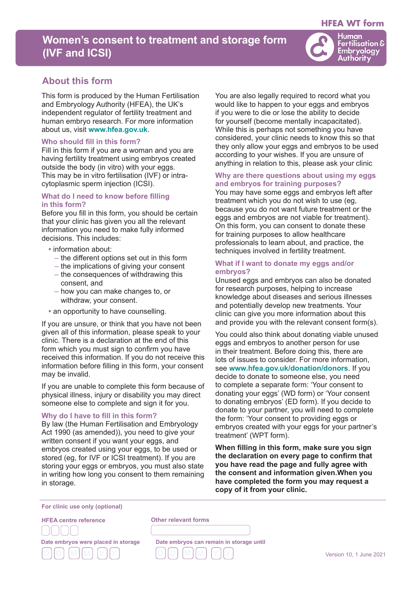# **HFEA WT form**

# **Women's consent to treatment and storage form (IVF and ICSI)**



# **About this form**

This form is produced by the Human Fertilisation and Embryology Authority (HFEA), the UK's independent regulator of fertility treatment and human embryo research. For more information about us, visit **www.hfea.gov.uk**.

#### **Who should fill in this form?**

Fill in this form if you are a woman and you are having fertility treatment using embryos created outside the body (in vitro) with your eggs. This may be in vitro fertilisation (IVF) or intracytoplasmic sperm injection (ICSI).

# **What do I need to know before filling in this form?**

Before you fill in this form, you should be certain that your clinic has given you all the relevant information you need to make fully informed decisions. This includes:

- **•** information about:
	- the different options set out in this form
	- the implications of giving your consent
	- the consequences of withdrawing this consent, and
	- how you can make changes to, or withdraw, your consent.
- **•** an opportunity to have counselling.

If you are unsure, or think that you have not been given all of this information, please speak to your clinic. There is a declaration at the end of this form which you must sign to confirm you have received this information. If you do not receive this information before filling in this form, your consent may be invalid.

If you are unable to complete this form because of physical illness, injury or disability you may direct someone else to complete and sign it for you.

#### **Why do I have to fill in this form?**

By law (the Human Fertilisation and Embryology Act 1990 (as amended)), you need to give your written consent if you want your eggs, and embryos created using your eggs, to be used or stored (eg, for IVF or ICSI treatment). If you are storing your eggs or embryos, you must also state in writing how long you consent to them remaining in storage.

You are also legally required to record what you would like to happen to your eggs and embryos if you were to die or lose the ability to decide for yourself (become mentally incapacitated). While this is perhaps not something you have considered, your clinic needs to know this so that they only allow your eggs and embryos to be used according to your wishes. If you are unsure of anything in relation to this, please ask your clinic

# **Why are there questions about using my eggs and embryos for training purposes?**

You may have some eggs and embryos left after treatment which you do not wish to use (eg, because you do not want future treatment or the eggs and embryos are not viable for treatment). On this form, you can consent to donate these for training purposes to allow healthcare professionals to learn about, and practice, the techniques involved in fertility treatment.

### **What if I want to donate my eggs and/or embryos?**

Unused eggs and embryos can also be donated for research purposes, helping to increase knowledge about diseases and serious illnesses and potentially develop new treatments. Your clinic can give you more information about this and provide you with the relevant consent form(s).

You could also think about donating viable unused eggs and embryos to another person for use in their treatment. Before doing this, there are lots of issues to consider. For more information, see **www.hfea.gov.uk/donation/donors**. If you decide to donate to someone else, you need to complete a separate form: 'Your consent to donating your eggs' (WD form) or 'Your consent to donating embryos' (ED form). If you decide to donate to your partner, you will need to complete the form: 'Your consent to providing eggs or embryos created with your eggs for your partner's treatment' (WPT form).

**When filling in this form, make sure you sign the declaration on every page to confirm that you have read the page and fully agree with the consent and information given.When you have completed the form you may request a copy of it from your clinic.**

**For clinic use only (optional)**

**HFEA centre reference Date embryos were placed in storage** ſ l <sup>D</sup> <sup>D</sup><sup>M</sup> <sup>M</sup><sup>Y</sup> <sup>Y</sup>

**Other relevant forms**

L

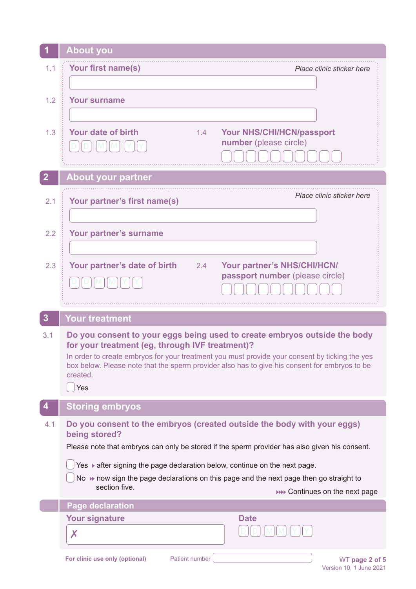|                  | <b>About you</b>                                                                                                                                  |  |  |
|------------------|---------------------------------------------------------------------------------------------------------------------------------------------------|--|--|
| 1.1              | Your first name(s)<br>Place clinic sticker here                                                                                                   |  |  |
|                  |                                                                                                                                                   |  |  |
| 1.2              | <b>Your surname</b>                                                                                                                               |  |  |
|                  |                                                                                                                                                   |  |  |
| 1.3              | Your date of birth<br><b>Your NHS/CHI/HCN/passport</b><br>1.4<br>number (please circle)                                                           |  |  |
|                  |                                                                                                                                                   |  |  |
| $\overline{2}$   | <b>About your partner</b>                                                                                                                         |  |  |
| 2.1              | Place clinic sticker here<br>Your partner's first name(s)                                                                                         |  |  |
|                  |                                                                                                                                                   |  |  |
| 2.2              | Your partner's surname                                                                                                                            |  |  |
|                  |                                                                                                                                                   |  |  |
| 2.3              | Your partner's date of birth<br>Your partner's NHS/CHI/HCN/<br>2.4<br>passport number (please circle)                                             |  |  |
|                  |                                                                                                                                                   |  |  |
|                  |                                                                                                                                                   |  |  |
| $\boldsymbol{3}$ | <b>Your treatment</b>                                                                                                                             |  |  |
| 3.1              | Do you consent to your eggs being used to create embryos outside the body                                                                         |  |  |
|                  | for your treatment (eg, through IVF treatment)?<br>In order to create embryos for your treatment you must provide your consent by ticking the yes |  |  |
|                  | box below. Please note that the sperm provider also has to give his consent for embryos to be<br>created.                                         |  |  |
|                  | Yes                                                                                                                                               |  |  |
|                  | <b>Storing embryos</b>                                                                                                                            |  |  |
| 4.1              | Do you consent to the embryos (created outside the body with your eggs)<br>being stored?                                                          |  |  |
|                  | Please note that embryos can only be stored if the sperm provider has also given his consent.                                                     |  |  |
|                  | Yes ▶ after signing the page declaration below, continue on the next page.                                                                        |  |  |
|                  | No $\rightarrow$ now sign the page declarations on this page and the next page then go straight to<br>section five.                               |  |  |
|                  | <b>NO Continues on the next page</b><br><b>Page declaration</b>                                                                                   |  |  |
|                  | <b>Your signature</b><br><b>Date</b>                                                                                                              |  |  |
|                  | $\boldsymbol{X}$                                                                                                                                  |  |  |
|                  |                                                                                                                                                   |  |  |

-1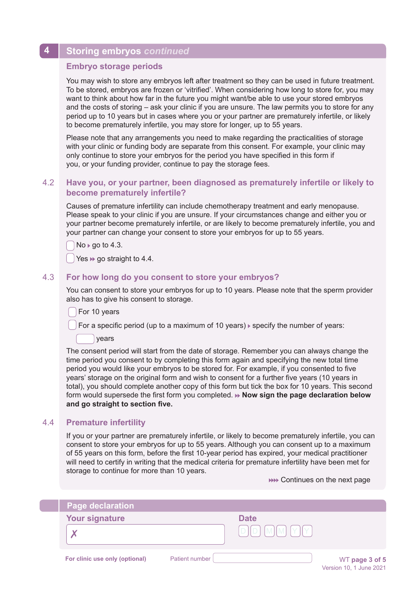# **4 Storing embryos** *continued*

### **Embryo storage periods**

You may wish to store any embryos left after treatment so they can be used in future treatment. To be stored, embryos are frozen or 'vitrified'. When considering how long to store for, you may want to think about how far in the future you might want/be able to use your stored embryos and the costs of storing – ask your clinic if you are unsure. The law permits you to store for any period up to 10 years but in cases where you or your partner are prematurely infertile, or likely to become prematurely infertile, you may store for longer, up to 55 years.

Please note that any arrangements you need to make regarding the practicalities of storage with your clinic or funding body are separate from this consent. For example, your clinic may only continue to store your embryos for the period you have specified in this form if you, or your funding provider, continue to pay the storage fees.

# 4.2 **Have you, or your partner, been diagnosed as prematurely infertile or likely to become prematurely infertile?**

Causes of premature infertility can include chemotherapy treatment and early menopause. Please speak to your clinic if you are unsure. If your circumstances change and either you or your partner become prematurely infertile, or are likely to become prematurely infertile, you and your partner can change your consent to store your embryos for up to 55 years.

 $No \triangleright$  go to 4.3.

Yes  $\rightarrow$  go straight to 4.4.

# 4.3 **For how long do you consent to store your embryos?**

You can consent to store your embryos for up to 10 years. Please note that the sperm provider also has to give his consent to storage.

For 10 years

For a specific period (up to a maximum of 10 years)  $\triangleright$  specify the number of years:

years

The consent period will start from the date of storage. Remember you can always change the time period you consent to by completing this form again and specifying the new total time period you would like your embryos to be stored for. For example, if you consented to five years' storage on the original form and wish to consent for a further five years (10 years in total), you should complete another copy of this form but tick the box for 10 years. This second form would supersede the first form you completed. **Mow sign the page declaration below and go straight to section five.**

# 4.4 **Premature infertility**

If you or your partner are prematurely infertile, or likely to become prematurely infertile, you can consent to store your embryos for up to 55 years. Although you can consent up to a maximum of 55 years on this form, before the first 10-year period has expired, your medical practitioner will need to certify in writing that the medical criteria for premature infertility have been met for storage to continue for more than 10 years.

**NO Continues on the next page** 

| <b>Page declaration</b>        |                |             |                |
|--------------------------------|----------------|-------------|----------------|
| <b>Your signature</b>          |                | <b>Date</b> |                |
|                                |                | $\Box$      |                |
| For clinic use only (optional) | Patient number |             | WT page 3 of 5 |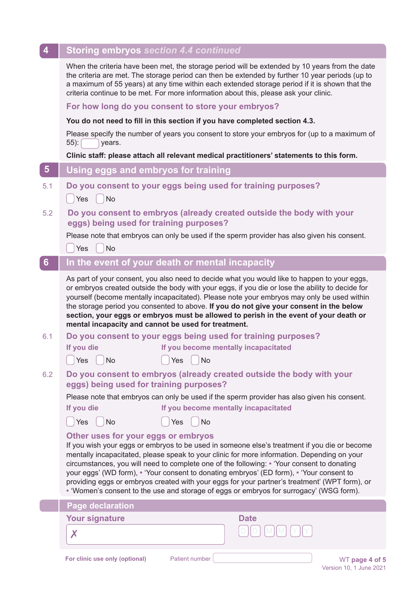| $\overline{\mathbf{4}}$ | <b>Storing embryos section 4.4 continued</b>                                                                                                                                                                                                                                                                                                                                                                                                                                                                                                                                                                             |  |  |
|-------------------------|--------------------------------------------------------------------------------------------------------------------------------------------------------------------------------------------------------------------------------------------------------------------------------------------------------------------------------------------------------------------------------------------------------------------------------------------------------------------------------------------------------------------------------------------------------------------------------------------------------------------------|--|--|
|                         | When the criteria have been met, the storage period will be extended by 10 years from the date<br>the criteria are met. The storage period can then be extended by further 10 year periods (up to<br>a maximum of 55 years) at any time within each extended storage period if it is shown that the<br>criteria continue to be met. For more information about this, please ask your clinic.                                                                                                                                                                                                                             |  |  |
|                         | For how long do you consent to store your embryos?                                                                                                                                                                                                                                                                                                                                                                                                                                                                                                                                                                       |  |  |
|                         | You do not need to fill in this section if you have completed section 4.3.                                                                                                                                                                                                                                                                                                                                                                                                                                                                                                                                               |  |  |
|                         | Please specify the number of years you consent to store your embryos for (up to a maximum of<br>55): [<br>years.                                                                                                                                                                                                                                                                                                                                                                                                                                                                                                         |  |  |
|                         | Clinic staff: please attach all relevant medical practitioners' statements to this form.                                                                                                                                                                                                                                                                                                                                                                                                                                                                                                                                 |  |  |
| $\overline{\mathbf{5}}$ | Using eggs and embryos for training                                                                                                                                                                                                                                                                                                                                                                                                                                                                                                                                                                                      |  |  |
| 5.1                     | Do you consent to your eggs being used for training purposes?<br>$\vert$ Yes $\vert$<br><b>No</b>                                                                                                                                                                                                                                                                                                                                                                                                                                                                                                                        |  |  |
| 5.2                     | Do you consent to embryos (already created outside the body with your<br>eggs) being used for training purposes?<br>Please note that embryos can only be used if the sperm provider has also given his consent.                                                                                                                                                                                                                                                                                                                                                                                                          |  |  |
|                         | <b>No</b><br>Yes                                                                                                                                                                                                                                                                                                                                                                                                                                                                                                                                                                                                         |  |  |
| 6                       | In the event of your death or mental incapacity                                                                                                                                                                                                                                                                                                                                                                                                                                                                                                                                                                          |  |  |
|                         | As part of your consent, you also need to decide what you would like to happen to your eggs,<br>or embryos created outside the body with your eggs, if you die or lose the ability to decide for<br>yourself (become mentally incapacitated). Please note your embryos may only be used within<br>the storage period you consented to above. If you do not give your consent in the below<br>section, your eggs or embryos must be allowed to perish in the event of your death or<br>mental incapacity and cannot be used for treatment.                                                                                |  |  |
| 6.1                     | Do you consent to your eggs being used for training purposes?                                                                                                                                                                                                                                                                                                                                                                                                                                                                                                                                                            |  |  |
|                         | If you die<br>If you become mentally incapacitated                                                                                                                                                                                                                                                                                                                                                                                                                                                                                                                                                                       |  |  |
|                         | $\bigcap$ Yes $\bigcap$ No<br>$\bigcap$ Yes $\bigcap$ No                                                                                                                                                                                                                                                                                                                                                                                                                                                                                                                                                                 |  |  |
| 6.2                     | Do you consent to embryos (already created outside the body with your<br>eggs) being used for training purposes?                                                                                                                                                                                                                                                                                                                                                                                                                                                                                                         |  |  |
|                         | Please note that embryos can only be used if the sperm provider has also given his consent.                                                                                                                                                                                                                                                                                                                                                                                                                                                                                                                              |  |  |
|                         | If you become mentally incapacitated<br>If you die                                                                                                                                                                                                                                                                                                                                                                                                                                                                                                                                                                       |  |  |
|                         | <b>No</b><br>Yes<br>No<br>Yes                                                                                                                                                                                                                                                                                                                                                                                                                                                                                                                                                                                            |  |  |
|                         | Other uses for your eggs or embryos<br>If you wish your eggs or embryos to be used in someone else's treatment if you die or become<br>mentally incapacitated, please speak to your clinic for more information. Depending on your<br>circumstances, you will need to complete one of the following: • 'Your consent to donating<br>your eggs' (WD form), • 'Your consent to donating embryos' (ED form), • 'Your consent to<br>providing eggs or embryos created with your eggs for your partner's treatment' (WPT form), or<br>• 'Women's consent to the use and storage of eggs or embryos for surrogacy' (WSG form). |  |  |
|                         | <b>Page declaration</b>                                                                                                                                                                                                                                                                                                                                                                                                                                                                                                                                                                                                  |  |  |
|                         | <b>Your signature</b><br><b>Date</b>                                                                                                                                                                                                                                                                                                                                                                                                                                                                                                                                                                                     |  |  |
|                         | X                                                                                                                                                                                                                                                                                                                                                                                                                                                                                                                                                                                                                        |  |  |